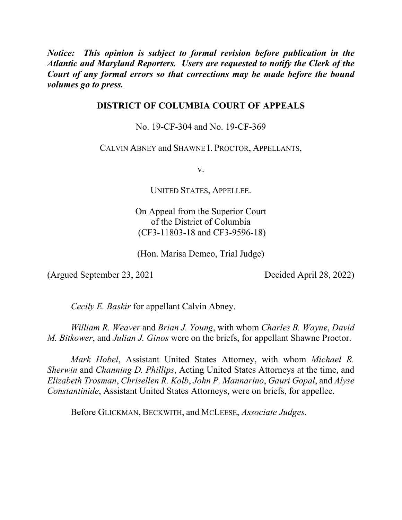*Notice: This opinion is subject to formal revision before publication in the Atlantic and Maryland Reporters. Users are requested to notify the Clerk of the Court of any formal errors so that corrections may be made before the bound volumes go to press.* 

# **DISTRICT OF COLUMBIA COURT OF APPEALS**

No. 19-CF-304 and No. 19-CF-369

CALVIN ABNEY and SHAWNE I. PROCTOR, APPELLANTS,

v.

UNITED STATES, APPELLEE.

On Appeal from the Superior Court of the District of Columbia (CF3-11803-18 and CF3-9596-18)

(Hon. Marisa Demeo, Trial Judge)

(Argued September 23, 2021 Decided April 28, 2022)

*Cecily E. Baskir* for appellant Calvin Abney.

*William R. Weaver* and *Brian J. Young*, with whom *Charles B. Wayne*, *David M. Bitkower*, and *Julian J. Ginos* were on the briefs, for appellant Shawne Proctor.

*Mark Hobel*, Assistant United States Attorney, with whom *Michael R. Sherwin* and *Channing D. Phillips*, Acting United States Attorneys at the time, and *Elizabeth Trosman*, *Chrisellen R. Kolb*, *John P. Mannarino*, *Gauri Gopal*, and *Alyse Constantinide*, Assistant United States Attorneys, were on briefs, for appellee.

Before GLICKMAN, BECKWITH, and MCLEESE, *Associate Judges.*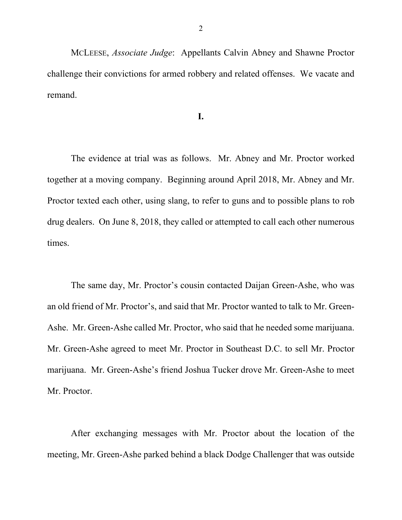MCLEESE, *Associate Judge*: Appellants Calvin Abney and Shawne Proctor challenge their convictions for armed robbery and related offenses. We vacate and remand.

**I.**

The evidence at trial was as follows. Mr. Abney and Mr. Proctor worked together at a moving company. Beginning around April 2018, Mr. Abney and Mr. Proctor texted each other, using slang, to refer to guns and to possible plans to rob drug dealers. On June 8, 2018, they called or attempted to call each other numerous times.

The same day, Mr. Proctor's cousin contacted Daijan Green-Ashe, who was an old friend of Mr. Proctor's, and said that Mr. Proctor wanted to talk to Mr. Green-Ashe. Mr. Green-Ashe called Mr. Proctor, who said that he needed some marijuana. Mr. Green-Ashe agreed to meet Mr. Proctor in Southeast D.C. to sell Mr. Proctor marijuana. Mr. Green-Ashe's friend Joshua Tucker drove Mr. Green-Ashe to meet Mr. Proctor.

After exchanging messages with Mr. Proctor about the location of the meeting, Mr. Green-Ashe parked behind a black Dodge Challenger that was outside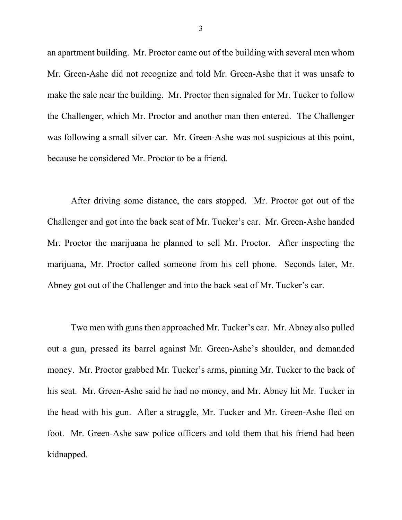an apartment building. Mr. Proctor came out of the building with several men whom Mr. Green-Ashe did not recognize and told Mr. Green-Ashe that it was unsafe to make the sale near the building. Mr. Proctor then signaled for Mr. Tucker to follow the Challenger, which Mr. Proctor and another man then entered. The Challenger was following a small silver car. Mr. Green-Ashe was not suspicious at this point, because he considered Mr. Proctor to be a friend.

After driving some distance, the cars stopped. Mr. Proctor got out of the Challenger and got into the back seat of Mr. Tucker's car. Mr. Green-Ashe handed Mr. Proctor the marijuana he planned to sell Mr. Proctor. After inspecting the marijuana, Mr. Proctor called someone from his cell phone. Seconds later, Mr. Abney got out of the Challenger and into the back seat of Mr. Tucker's car.

Two men with guns then approached Mr. Tucker's car. Mr. Abney also pulled out a gun, pressed its barrel against Mr. Green-Ashe's shoulder, and demanded money. Mr. Proctor grabbed Mr. Tucker's arms, pinning Mr. Tucker to the back of his seat. Mr. Green-Ashe said he had no money, and Mr. Abney hit Mr. Tucker in the head with his gun. After a struggle, Mr. Tucker and Mr. Green-Ashe fled on foot. Mr. Green-Ashe saw police officers and told them that his friend had been kidnapped.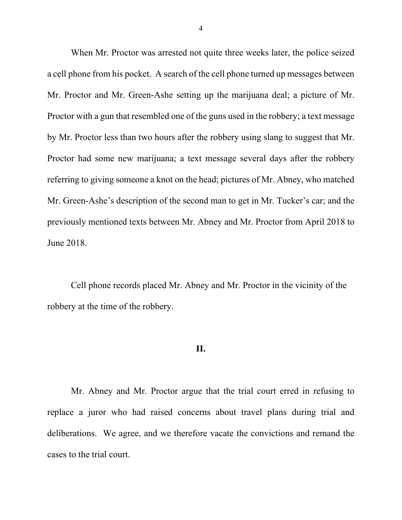When Mr. Proctor was arrested not quite three weeks later, the police seized a cell phone from his pocket. A search of the cell phone turned up messages between Mr. Proctor and Mr. Green-Ashe setting up the marijuana deal; a picture of Mr. Proctor with a gun that resembled one of the guns used in the robbery; a text message by Mr. Proctor less than two hours after the robbery using slang to suggest that Mr. Proctor had some new marijuana; a text message several days after the robbery referring to giving someone a knot on the head; pictures of Mr. Abney, who matched Mr. Green-Ashe's description of the second man to get in Mr. Tucker's car; and the previously mentioned texts between Mr. Abney and Mr. Proctor from April 2018 to June 2018.

Cell phone records placed Mr. Abney and Mr. Proctor in the vicinity of the robbery at the time of the robbery.

## **II.**

Mr. Abney and Mr. Proctor argue that the trial court erred in refusing to replace a juror who had raised concerns about travel plans during trial and deliberations. We agree, and we therefore vacate the convictions and remand the cases to the trial court.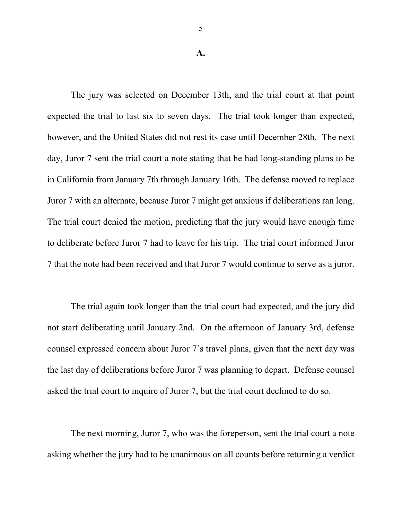#### **A.**

The jury was selected on December 13th, and the trial court at that point expected the trial to last six to seven days. The trial took longer than expected, however, and the United States did not rest its case until December 28th. The next day, Juror 7 sent the trial court a note stating that he had long-standing plans to be in California from January 7th through January 16th. The defense moved to replace Juror 7 with an alternate, because Juror 7 might get anxious if deliberations ran long. The trial court denied the motion, predicting that the jury would have enough time to deliberate before Juror 7 had to leave for his trip. The trial court informed Juror 7 that the note had been received and that Juror 7 would continue to serve as a juror.

The trial again took longer than the trial court had expected, and the jury did not start deliberating until January 2nd.On the afternoon of January 3rd, defense counsel expressed concern about Juror 7's travel plans, given that the next day was the last day of deliberations before Juror 7 was planning to depart. Defense counsel asked the trial court to inquire of Juror 7, but the trial court declined to do so.

The next morning, Juror 7, who was the foreperson, sent the trial court a note asking whether the jury had to be unanimous on all counts before returning a verdict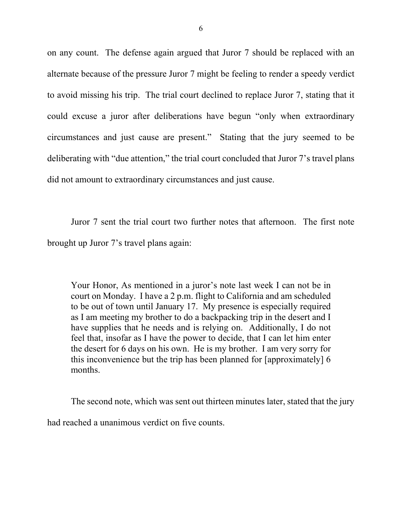on any count.The defense again argued that Juror 7 should be replaced with an alternate because of the pressure Juror 7 might be feeling to render a speedy verdict to avoid missing his trip. The trial court declined to replace Juror 7, stating that it could excuse a juror after deliberations have begun "only when extraordinary circumstances and just cause are present." Stating that the jury seemed to be deliberating with "due attention," the trial court concluded that Juror 7's travel plans did not amount to extraordinary circumstances and just cause.

Juror 7 sent the trial court two further notes that afternoon. The first note brought up Juror 7's travel plans again:

Your Honor, As mentioned in a juror's note last week I can not be in court on Monday. I have a 2 p.m. flight to California and am scheduled to be out of town until January 17. My presence is especially required as I am meeting my brother to do a backpacking trip in the desert and I have supplies that he needs and is relying on. Additionally, I do not feel that, insofar as I have the power to decide, that I can let him enter the desert for 6 days on his own. He is my brother. I am very sorry for this inconvenience but the trip has been planned for [approximately] 6 months.

The second note, which was sent out thirteen minutes later, stated that the jury had reached a unanimous verdict on five counts.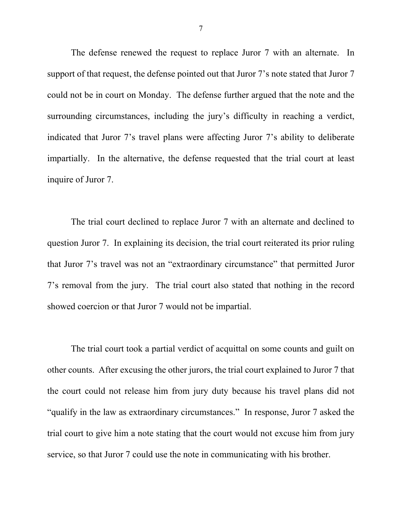The defense renewed the request to replace Juror 7 with an alternate. In support of that request, the defense pointed out that Juror 7's note stated that Juror 7 could not be in court on Monday. The defense further argued that the note and the surrounding circumstances, including the jury's difficulty in reaching a verdict, indicated that Juror 7's travel plans were affecting Juror 7's ability to deliberate impartially. In the alternative, the defense requested that the trial court at least inquire of Juror 7.

The trial court declined to replace Juror 7 with an alternate and declined to question Juror 7. In explaining its decision, the trial court reiterated its prior ruling that Juror 7's travel was not an "extraordinary circumstance" that permitted Juror 7's removal from the jury. The trial court also stated that nothing in the record showed coercion or that Juror 7 would not be impartial.

The trial court took a partial verdict of acquittal on some counts and guilt on other counts. After excusing the other jurors, the trial court explained to Juror 7 that the court could not release him from jury duty because his travel plans did not "qualify in the law as extraordinary circumstances." In response, Juror 7 asked the trial court to give him a note stating that the court would not excuse him from jury service, so that Juror 7 could use the note in communicating with his brother.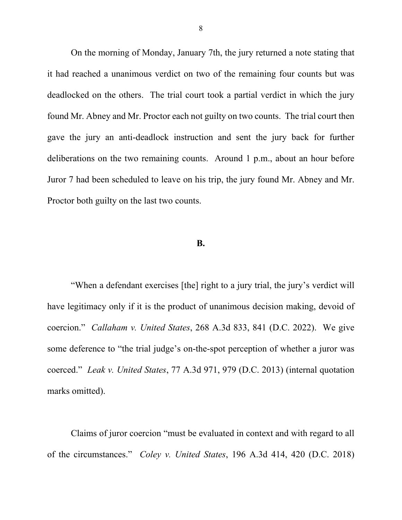On the morning of Monday, January 7th, the jury returned a note stating that it had reached a unanimous verdict on two of the remaining four counts but was deadlocked on the others. The trial court took a partial verdict in which the jury found Mr. Abney and Mr. Proctor each not guilty on two counts. The trial court then gave the jury an anti-deadlock instruction and sent the jury back for further deliberations on the two remaining counts. Around 1 p.m., about an hour before Juror 7 had been scheduled to leave on his trip, the jury found Mr. Abney and Mr. Proctor both guilty on the last two counts.

## **B.**

"When a defendant exercises [the] right to a jury trial, the jury's verdict will have legitimacy only if it is the product of unanimous decision making, devoid of coercion." *Callaham v. United States*, 268 A.3d 833, 841 (D.C. 2022). We give some deference to "the trial judge's on-the-spot perception of whether a juror was coerced." *Leak v. United States*, 77 A.3d 971, 979 (D.C. 2013) (internal quotation marks omitted).

Claims of juror coercion "must be evaluated in context and with regard to all of the circumstances." *Coley v. United States*, 196 A.3d 414, 420 (D.C. 2018)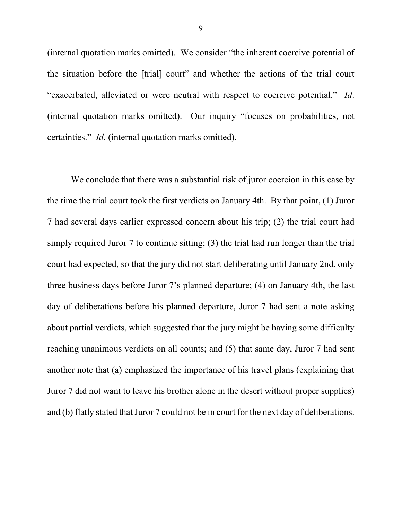(internal quotation marks omitted). We consider "the inherent coercive potential of the situation before the [trial] court" and whether the actions of the trial court "exacerbated, alleviated or were neutral with respect to coercive potential." *Id*. (internal quotation marks omitted). Our inquiry "focuses on probabilities, not certainties." *Id*. (internal quotation marks omitted).

We conclude that there was a substantial risk of juror coercion in this case by the time the trial court took the first verdicts on January 4th. By that point, (1) Juror 7 had several days earlier expressed concern about his trip; (2) the trial court had simply required Juror 7 to continue sitting; (3) the trial had run longer than the trial court had expected, so that the jury did not start deliberating until January 2nd, only three business days before Juror 7's planned departure; (4) on January 4th, the last day of deliberations before his planned departure, Juror 7 had sent a note asking about partial verdicts, which suggested that the jury might be having some difficulty reaching unanimous verdicts on all counts; and (5) that same day, Juror 7 had sent another note that (a) emphasized the importance of his travel plans (explaining that Juror 7 did not want to leave his brother alone in the desert without proper supplies) and (b) flatly stated that Juror 7 could not be in court for the next day of deliberations.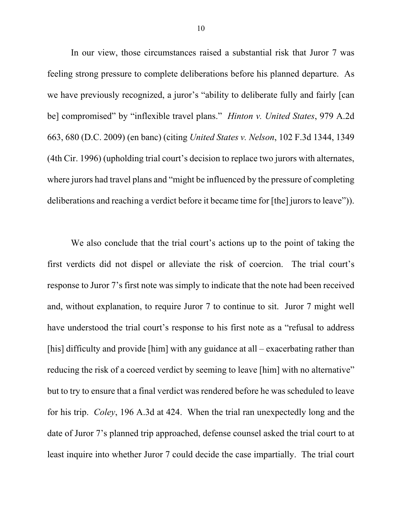In our view, those circumstances raised a substantial risk that Juror 7 was feeling strong pressure to complete deliberations before his planned departure. As we have previously recognized, a juror's "ability to deliberate fully and fairly [can be] compromised" by "inflexible travel plans." *Hinton v. United States*, 979 A.2d 663, 680 (D.C. 2009) (en banc) (citing *United States v. Nelson*, 102 F.3d 1344, 1349 (4th Cir. 1996) (upholding trial court's decision to replace two jurors with alternates, where jurors had travel plans and "might be influenced by the pressure of completing deliberations and reaching a verdict before it became time for [the] jurors to leave")).

We also conclude that the trial court's actions up to the point of taking the first verdicts did not dispel or alleviate the risk of coercion. The trial court's response to Juror 7's first note was simply to indicate that the note had been received and, without explanation, to require Juror 7 to continue to sit. Juror 7 might well have understood the trial court's response to his first note as a "refusal to address [his] difficulty and provide [him] with any guidance at all – exacerbating rather than reducing the risk of a coerced verdict by seeming to leave [him] with no alternative" but to try to ensure that a final verdict was rendered before he was scheduled to leave for his trip. *Coley*, 196 A.3d at 424. When the trial ran unexpectedly long and the date of Juror 7's planned trip approached, defense counsel asked the trial court to at least inquire into whether Juror 7 could decide the case impartially. The trial court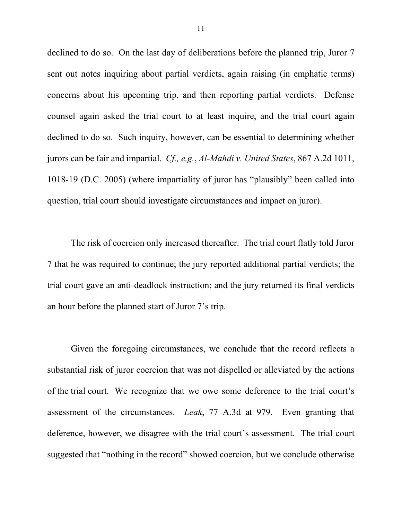declined to do so. On the last day of deliberations before the planned trip, Juror 7 sent out notes inquiring about partial verdicts, again raising (in emphatic terms) concerns about his upcoming trip, and then reporting partial verdicts. Defense counsel again asked the trial court to at least inquire, and the trial court again declined to do so. Such inquiry, however, can be essential to determining whether jurors can be fair and impartial. *Cf., e.g.*, *Al-Mahdi v. United States*, 867 A.2d 1011, 1018-19 (D.C. 2005) (where impartiality of juror has "plausibly" been called into question, trial court should investigate circumstances and impact on juror).

The risk of coercion only increased thereafter. The trial court flatly told Juror 7 that he was required to continue; the jury reported additional partial verdicts; the trial court gave an anti-deadlock instruction; and the jury returned its final verdicts an hour before the planned start of Juror 7's trip.

Given the foregoing circumstances, we conclude that the record reflects a substantial risk of juror coercion that was not dispelled or alleviated by the actions of the trial court. We recognize that we owe some deference to the trial court's assessment of the circumstances. *Leak*, 77 A.3d at 979. Even granting that deference, however, we disagree with the trial court's assessment. The trial court suggested that "nothing in the record" showed coercion, but we conclude otherwise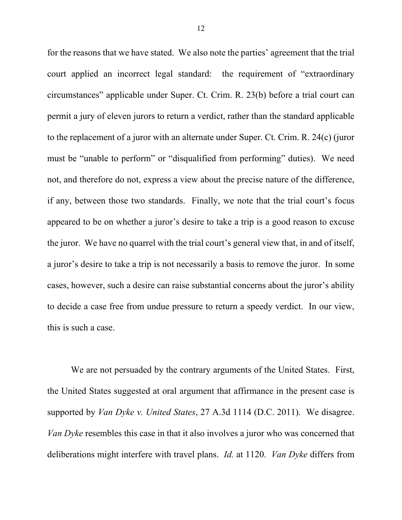for the reasons that we have stated. We also note the parties' agreement that the trial court applied an incorrect legal standard: the requirement of "extraordinary circumstances" applicable under Super. Ct. Crim. R. 23(b) before a trial court can permit a jury of eleven jurors to return a verdict, rather than the standard applicable to the replacement of a juror with an alternate under Super. Ct. Crim. R. 24(c) (juror must be "unable to perform" or "disqualified from performing" duties). We need not, and therefore do not, express a view about the precise nature of the difference, if any, between those two standards. Finally, we note that the trial court's focus appeared to be on whether a juror's desire to take a trip is a good reason to excuse the juror. We have no quarrel with the trial court's general view that, in and of itself, a juror's desire to take a trip is not necessarily a basis to remove the juror. In some cases, however, such a desire can raise substantial concerns about the juror's ability to decide a case free from undue pressure to return a speedy verdict. In our view, this is such a case.

We are not persuaded by the contrary arguments of the United States. First, the United States suggested at oral argument that affirmance in the present case is supported by *Van Dyke v. United States*, 27 A.3d 1114 (D.C. 2011). We disagree. *Van Dyke* resembles this case in that it also involves a juror who was concerned that deliberations might interfere with travel plans. *Id.* at 1120. *Van Dyke* differs from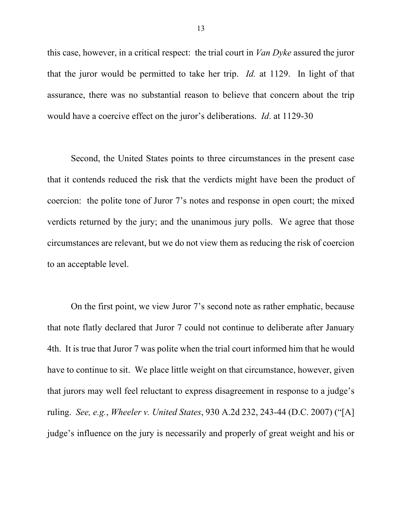this case, however, in a critical respect: the trial court in *Van Dyke* assured the juror that the juror would be permitted to take her trip. *Id.* at 1129. In light of that assurance, there was no substantial reason to believe that concern about the trip would have a coercive effect on the juror's deliberations. *Id*. at 1129-30

Second, the United States points to three circumstances in the present case that it contends reduced the risk that the verdicts might have been the product of coercion: the polite tone of Juror 7's notes and response in open court; the mixed verdicts returned by the jury; and the unanimous jury polls. We agree that those circumstances are relevant, but we do not view them as reducing the risk of coercion to an acceptable level.

On the first point, we view Juror 7's second note as rather emphatic, because that note flatly declared that Juror 7 could not continue to deliberate after January 4th. It is true that Juror 7 was polite when the trial court informed him that he would have to continue to sit. We place little weight on that circumstance, however, given that jurors may well feel reluctant to express disagreement in response to a judge's ruling. *See, e.g.*, *Wheeler v. United States*, 930 A.2d 232, 243-44 (D.C. 2007) ("[A] judge's influence on the jury is necessarily and properly of great weight and his or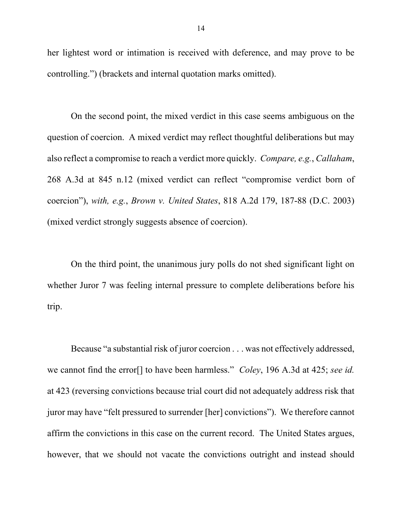her lightest word or intimation is received with deference, and may prove to be controlling.") (brackets and internal quotation marks omitted).

On the second point, the mixed verdict in this case seems ambiguous on the question of coercion. A mixed verdict may reflect thoughtful deliberations but may also reflect a compromise to reach a verdict more quickly. *Compare, e.g.*, *Callaham*, 268 A.3d at 845 n.12 (mixed verdict can reflect "compromise verdict born of coercion"), *with, e.g.*, *Brown v. United States*, 818 A.2d 179, 187-88 (D.C. 2003) (mixed verdict strongly suggests absence of coercion).

On the third point, the unanimous jury polls do not shed significant light on whether Juror 7 was feeling internal pressure to complete deliberations before his trip.

Because "a substantial risk of juror coercion . . . was not effectively addressed, we cannot find the error[] to have been harmless." *Coley*, 196 A.3d at 425; *see id.* at 423 (reversing convictions because trial court did not adequately address risk that juror may have "felt pressured to surrender [her] convictions"). We therefore cannot affirm the convictions in this case on the current record. The United States argues, however, that we should not vacate the convictions outright and instead should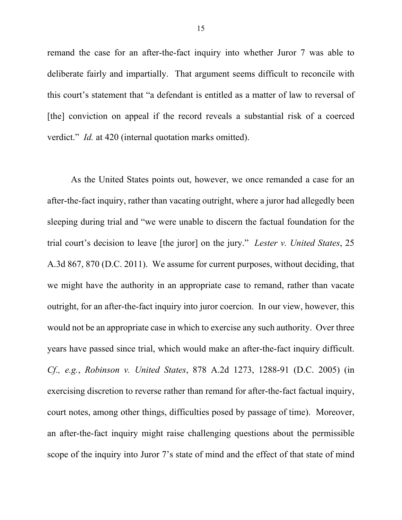remand the case for an after-the-fact inquiry into whether Juror 7 was able to deliberate fairly and impartially. That argument seems difficult to reconcile with this court's statement that "a defendant is entitled as a matter of law to reversal of [the] conviction on appeal if the record reveals a substantial risk of a coerced verdict." *Id.* at 420 (internal quotation marks omitted).

As the United States points out, however, we once remanded a case for an after-the-fact inquiry, rather than vacating outright, where a juror had allegedly been sleeping during trial and "we were unable to discern the factual foundation for the trial court's decision to leave [the juror] on the jury." *Lester v. United States*, 25 A.3d 867, 870 (D.C. 2011). We assume for current purposes, without deciding, that we might have the authority in an appropriate case to remand, rather than vacate outright, for an after-the-fact inquiry into juror coercion. In our view, however, this would not be an appropriate case in which to exercise any such authority. Over three years have passed since trial, which would make an after-the-fact inquiry difficult. *Cf., e.g.*, *Robinson v. United States*, 878 A.2d 1273, 1288-91 (D.C. 2005) (in exercising discretion to reverse rather than remand for after-the-fact factual inquiry, court notes, among other things, difficulties posed by passage of time). Moreover, an after-the-fact inquiry might raise challenging questions about the permissible scope of the inquiry into Juror 7's state of mind and the effect of that state of mind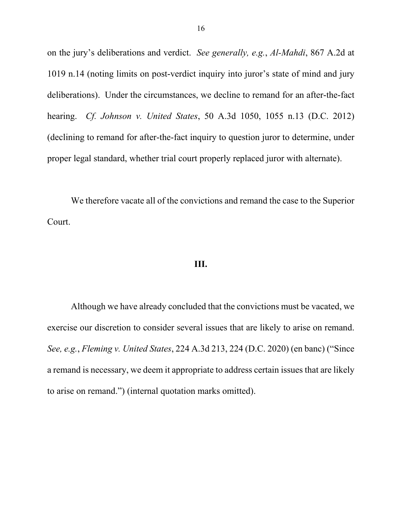on the jury's deliberations and verdict. *See generally, e.g.*, *Al-Mahdi*, 867 A.2d at 1019 n.14 (noting limits on post-verdict inquiry into juror's state of mind and jury deliberations). Under the circumstances, we decline to remand for an after-the-fact hearing. *Cf. Johnson v. United States*, 50 A.3d 1050, 1055 n.13 (D.C. 2012) (declining to remand for after-the-fact inquiry to question juror to determine, under proper legal standard, whether trial court properly replaced juror with alternate).

We therefore vacate all of the convictions and remand the case to the Superior Court.

## **III.**

Although we have already concluded that the convictions must be vacated, we exercise our discretion to consider several issues that are likely to arise on remand. *See, e.g.*, *Fleming v. United States*, 224 A.3d 213, 224 (D.C. 2020) (en banc) ("Since a remand is necessary, we deem it appropriate to address certain issues that are likely to arise on remand.") (internal quotation marks omitted).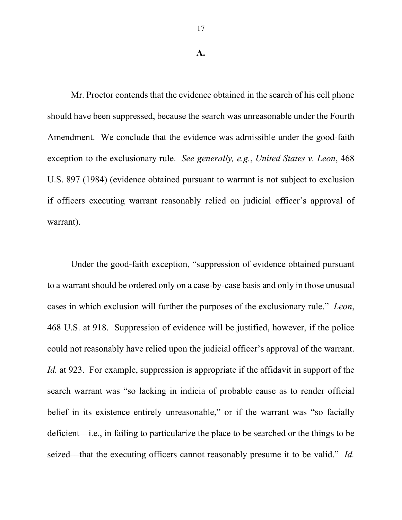#### **A.**

Mr. Proctor contends that the evidence obtained in the search of his cell phone should have been suppressed, because the search was unreasonable under the Fourth Amendment. We conclude that the evidence was admissible under the good-faith exception to the exclusionary rule. *See generally, e.g.*, *United States v. Leon*, 468 U.S. 897 (1984) (evidence obtained pursuant to warrant is not subject to exclusion if officers executing warrant reasonably relied on judicial officer's approval of warrant).

Under the good-faith exception, "suppression of evidence obtained pursuant to a warrant should be ordered only on a case-by-case basis and only in those unusual cases in which exclusion will further the purposes of the exclusionary rule." *Leon*, 468 U.S. at 918. Suppression of evidence will be justified, however, if the police could not reasonably have relied upon the judicial officer's approval of the warrant. *Id.* at 923. For example, suppression is appropriate if the affidavit in support of the search warrant was "so lacking in indicia of probable cause as to render official belief in its existence entirely unreasonable," or if the warrant was "so facially deficient––i.e., in failing to particularize the place to be searched or the things to be seized––that the executing officers cannot reasonably presume it to be valid." *Id.*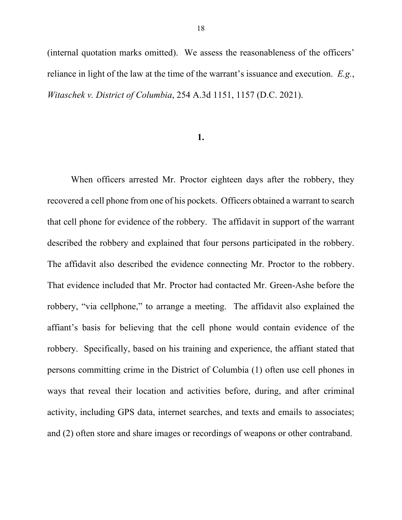(internal quotation marks omitted). We assess the reasonableness of the officers' reliance in light of the law at the time of the warrant's issuance and execution. *E.g.*, *Witaschek v. District of Columbia*, 254 A.3d 1151, 1157 (D.C. 2021).

## **1.**

When officers arrested Mr. Proctor eighteen days after the robbery, they recovered a cell phone from one of his pockets. Officers obtained a warrant to search that cell phone for evidence of the robbery. The affidavit in support of the warrant described the robbery and explained that four persons participated in the robbery. The affidavit also described the evidence connecting Mr. Proctor to the robbery. That evidence included that Mr. Proctor had contacted Mr. Green-Ashe before the robbery, "via cellphone," to arrange a meeting. The affidavit also explained the affiant's basis for believing that the cell phone would contain evidence of the robbery. Specifically, based on his training and experience, the affiant stated that persons committing crime in the District of Columbia (1) often use cell phones in ways that reveal their location and activities before, during, and after criminal activity, including GPS data, internet searches, and texts and emails to associates; and (2) often store and share images or recordings of weapons or other contraband.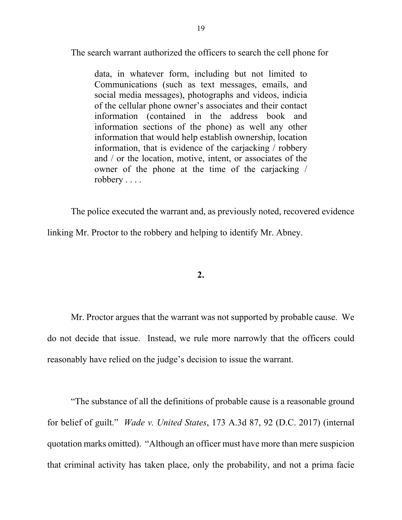The search warrant authorized the officers to search the cell phone for

data, in whatever form, including but not limited to Communications (such as text messages, emails, and social media messages), photographs and videos, indicia of the cellular phone owner's associates and their contact information (contained in the address book and information sections of the phone) as well any other information that would help establish ownership, location information, that is evidence of the carjacking / robbery and / or the location, motive, intent, or associates of the owner of the phone at the time of the carjacking / robbery . . . .

The police executed the warrant and, as previously noted, recovered evidence linking Mr. Proctor to the robbery and helping to identify Mr. Abney.

**2.**

Mr. Proctor argues that the warrant was not supported by probable cause. We do not decide that issue. Instead, we rule more narrowly that the officers could reasonably have relied on the judge's decision to issue the warrant.

"The substance of all the definitions of probable cause is a reasonable ground for belief of guilt." *Wade v. United States*, 173 A.3d 87, 92 (D.C. 2017) (internal quotation marks omitted). "Although an officer must have more than mere suspicion that criminal activity has taken place, only the probability, and not a prima facie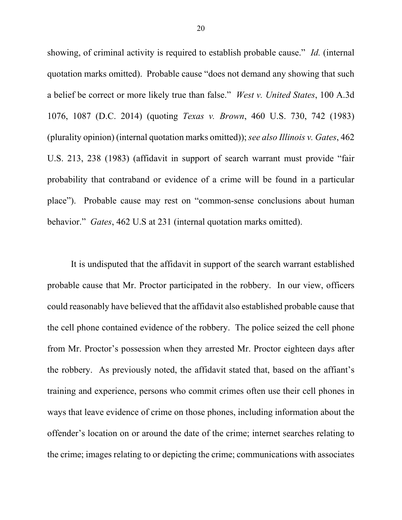showing, of criminal activity is required to establish probable cause." *Id.* (internal quotation marks omitted). Probable cause "does not demand any showing that such a belief be correct or more likely true than false." *West v. United States*, 100 A.3d 1076, 1087 (D.C. 2014) (quoting *Texas v. Brown*, 460 U.S. 730, 742 (1983) (plurality opinion) (internal quotation marks omitted)); *see also Illinois v. Gates*, 462 U.S. 213, 238 (1983) (affidavit in support of search warrant must provide "fair probability that contraband or evidence of a crime will be found in a particular place"). Probable cause may rest on "common-sense conclusions about human behavior." *Gates*, 462 U.S at 231 (internal quotation marks omitted).

It is undisputed that the affidavit in support of the search warrant established probable cause that Mr. Proctor participated in the robbery. In our view, officers could reasonably have believed that the affidavit also established probable cause that the cell phone contained evidence of the robbery. The police seized the cell phone from Mr. Proctor's possession when they arrested Mr. Proctor eighteen days after the robbery. As previously noted, the affidavit stated that, based on the affiant's training and experience, persons who commit crimes often use their cell phones in ways that leave evidence of crime on those phones, including information about the offender's location on or around the date of the crime; internet searches relating to the crime; images relating to or depicting the crime; communications with associates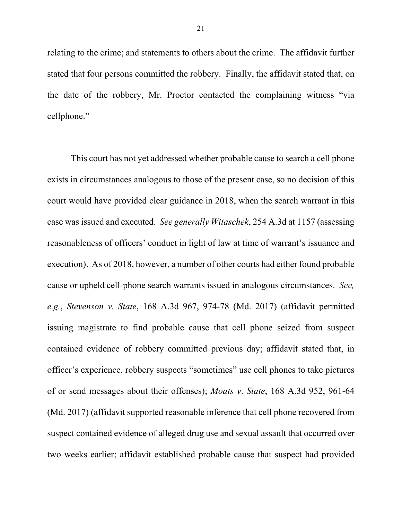relating to the crime; and statements to others about the crime. The affidavit further stated that four persons committed the robbery. Finally, the affidavit stated that, on the date of the robbery, Mr. Proctor contacted the complaining witness "via cellphone."

This court has not yet addressed whether probable cause to search a cell phone exists in circumstances analogous to those of the present case, so no decision of this court would have provided clear guidance in 2018, when the search warrant in this case was issued and executed. *See generally Witaschek*, 254 A.3d at 1157 (assessing reasonableness of officers' conduct in light of law at time of warrant's issuance and execution). As of 2018, however, a number of other courts had either found probable cause or upheld cell-phone search warrants issued in analogous circumstances. *See, e.g.*, *Stevenson v. State*, 168 A.3d 967, 974-78 (Md. 2017) (affidavit permitted issuing magistrate to find probable cause that cell phone seized from suspect contained evidence of robbery committed previous day; affidavit stated that, in officer's experience, robbery suspects "sometimes" use cell phones to take pictures of or send messages about their offenses); *Moats v*. *State*, 168 A.3d 952, 961-64 (Md. 2017) (affidavit supported reasonable inference that cell phone recovered from suspect contained evidence of alleged drug use and sexual assault that occurred over two weeks earlier; affidavit established probable cause that suspect had provided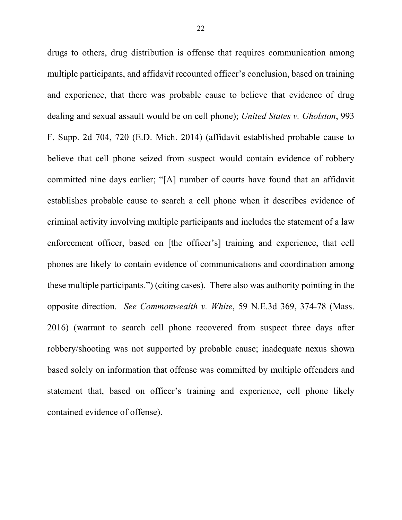drugs to others, drug distribution is offense that requires communication among multiple participants, and affidavit recounted officer's conclusion, based on training and experience, that there was probable cause to believe that evidence of drug dealing and sexual assault would be on cell phone); *United States v. Gholston*, 993 F. Supp. 2d 704, 720 (E.D. Mich. 2014) (affidavit established probable cause to believe that cell phone seized from suspect would contain evidence of robbery committed nine days earlier; "[A] number of courts have found that an affidavit establishes probable cause to search a cell phone when it describes evidence of criminal activity involving multiple participants and includes the statement of a law enforcement officer, based on [the officer's] training and experience, that cell phones are likely to contain evidence of communications and coordination among these multiple participants.") (citing cases). There also was authority pointing in the opposite direction. *See Commonwealth v. White*, 59 N.E.3d 369, 374-78 (Mass. 2016) (warrant to search cell phone recovered from suspect three days after robbery/shooting was not supported by probable cause; inadequate nexus shown based solely on information that offense was committed by multiple offenders and statement that, based on officer's training and experience, cell phone likely contained evidence of offense).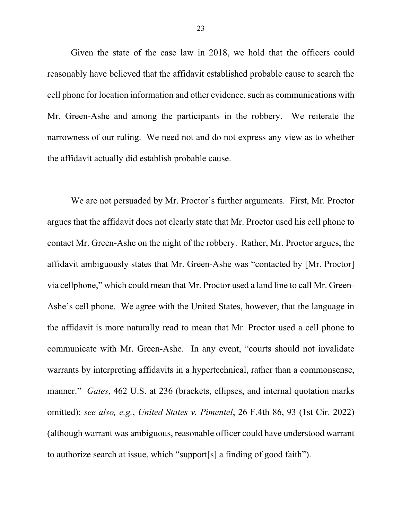Given the state of the case law in 2018, we hold that the officers could reasonably have believed that the affidavit established probable cause to search the cell phone for location information and other evidence, such as communications with Mr. Green-Ashe and among the participants in the robbery. We reiterate the narrowness of our ruling. We need not and do not express any view as to whether the affidavit actually did establish probable cause.

We are not persuaded by Mr. Proctor's further arguments. First, Mr. Proctor argues that the affidavit does not clearly state that Mr. Proctor used his cell phone to contact Mr. Green-Ashe on the night of the robbery. Rather, Mr. Proctor argues, the affidavit ambiguously states that Mr. Green-Ashe was "contacted by [Mr. Proctor] via cellphone," which could mean that Mr. Proctor used a land line to call Mr. Green-Ashe's cell phone. We agree with the United States, however, that the language in the affidavit is more naturally read to mean that Mr. Proctor used a cell phone to communicate with Mr. Green-Ashe. In any event, "courts should not invalidate warrants by interpreting affidavits in a hypertechnical, rather than a commonsense, manner." *Gates*, 462 U.S. at 236 (brackets, ellipses, and internal quotation marks omitted); *see also, e.g.*, *United States v. Pimentel*, 26 F.4th 86, 93 (1st Cir. 2022) (although warrant was ambiguous, reasonable officer could have understood warrant to authorize search at issue, which "support[s] a finding of good faith").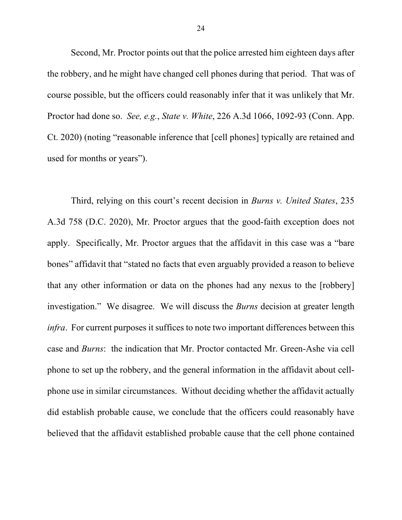Second, Mr. Proctor points out that the police arrested him eighteen days after the robbery, and he might have changed cell phones during that period. That was of course possible, but the officers could reasonably infer that it was unlikely that Mr. Proctor had done so. *See, e.g.*, *State v. White*, 226 A.3d 1066, 1092-93 (Conn. App. Ct. 2020) (noting "reasonable inference that [cell phones] typically are retained and used for months or years").

Third, relying on this court's recent decision in *Burns v. United States*, 235 A.3d 758 (D.C. 2020), Mr. Proctor argues that the good-faith exception does not apply. Specifically, Mr. Proctor argues that the affidavit in this case was a "bare bones" affidavit that "stated no facts that even arguably provided a reason to believe that any other information or data on the phones had any nexus to the [robbery] investigation." We disagree. We will discuss the *Burns* decision at greater length *infra*. For current purposes it suffices to note two important differences between this case and *Burns*: the indication that Mr. Proctor contacted Mr. Green-Ashe via cell phone to set up the robbery, and the general information in the affidavit about cellphone use in similar circumstances. Without deciding whether the affidavit actually did establish probable cause, we conclude that the officers could reasonably have believed that the affidavit established probable cause that the cell phone contained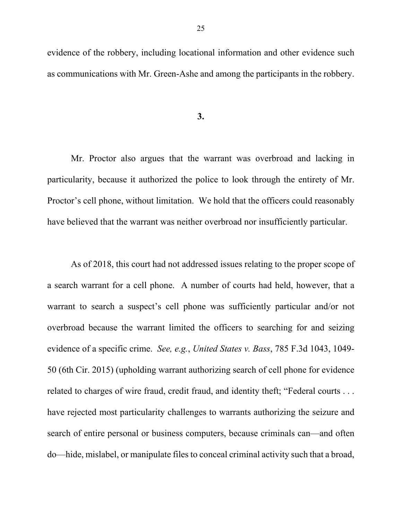evidence of the robbery, including locational information and other evidence such as communications with Mr. Green-Ashe and among the participants in the robbery.

#### **3.**

Mr. Proctor also argues that the warrant was overbroad and lacking in particularity, because it authorized the police to look through the entirety of Mr. Proctor's cell phone, without limitation. We hold that the officers could reasonably have believed that the warrant was neither overbroad nor insufficiently particular.

As of 2018, this court had not addressed issues relating to the proper scope of a search warrant for a cell phone. A number of courts had held, however, that a warrant to search a suspect's cell phone was sufficiently particular and/or not overbroad because the warrant limited the officers to searching for and seizing evidence of a specific crime. *See, e.g.*, *United States v. Bass*, 785 F.3d 1043, 1049- 50 (6th Cir. 2015) (upholding warrant authorizing search of cell phone for evidence related to charges of wire fraud, credit fraud, and identity theft; "Federal courts . . . have rejected most particularity challenges to warrants authorizing the seizure and search of entire personal or business computers, because criminals can—and often do—hide, mislabel, or manipulate files to conceal criminal activity such that a broad,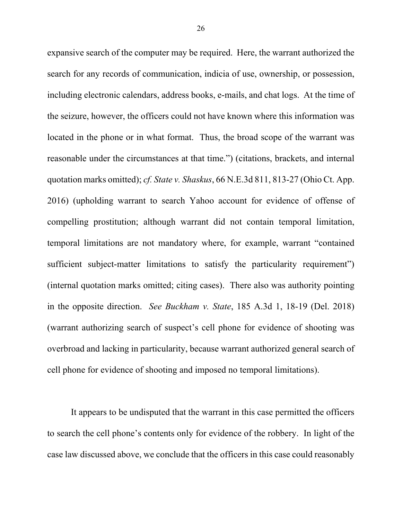expansive search of the computer may be required. Here, the warrant authorized the search for any records of communication, indicia of use, ownership, or possession, including electronic calendars, address books, e-mails, and chat logs. At the time of the seizure, however, the officers could not have known where this information was located in the phone or in what format. Thus, the broad scope of the warrant was reasonable under the circumstances at that time.") (citations, brackets, and internal quotation marks omitted); *cf. State v. Shaskus*, 66 N.E.3d 811, 813-27 (Ohio Ct. App. 2016) (upholding warrant to search Yahoo account for evidence of offense of compelling prostitution; although warrant did not contain temporal limitation, temporal limitations are not mandatory where, for example, warrant "contained sufficient subject-matter limitations to satisfy the particularity requirement") (internal quotation marks omitted; citing cases). There also was authority pointing in the opposite direction. *See Buckham v. State*, 185 A.3d 1, 18-19 (Del. 2018) (warrant authorizing search of suspect's cell phone for evidence of shooting was overbroad and lacking in particularity, because warrant authorized general search of cell phone for evidence of shooting and imposed no temporal limitations).

It appears to be undisputed that the warrant in this case permitted the officers to search the cell phone's contents only for evidence of the robbery. In light of the case law discussed above, we conclude that the officers in this case could reasonably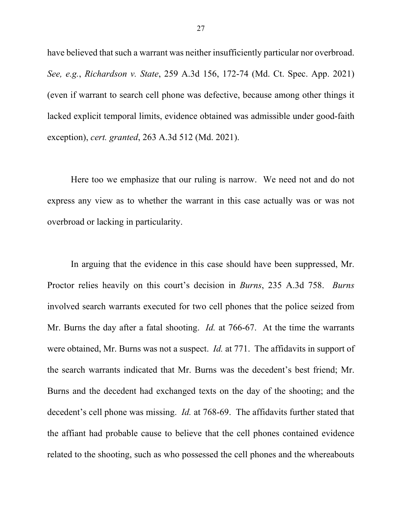have believed that such a warrant was neither insufficiently particular nor overbroad. *See, e.g.*, *Richardson v. State*, 259 A.3d 156, 172-74 (Md. Ct. Spec. App. 2021) (even if warrant to search cell phone was defective, because among other things it lacked explicit temporal limits, evidence obtained was admissible under good-faith exception), *cert. granted*, 263 A.3d 512 (Md. 2021).

Here too we emphasize that our ruling is narrow. We need not and do not express any view as to whether the warrant in this case actually was or was not overbroad or lacking in particularity.

In arguing that the evidence in this case should have been suppressed, Mr. Proctor relies heavily on this court's decision in *Burns*, 235 A.3d 758. *Burns* involved search warrants executed for two cell phones that the police seized from Mr. Burns the day after a fatal shooting. *Id.* at 766-67. At the time the warrants were obtained, Mr. Burns was not a suspect. *Id.* at 771.The affidavits in support of the search warrants indicated that Mr. Burns was the decedent's best friend; Mr. Burns and the decedent had exchanged texts on the day of the shooting; and the decedent's cell phone was missing. *Id.* at 768-69. The affidavits further stated that the affiant had probable cause to believe that the cell phones contained evidence related to the shooting, such as who possessed the cell phones and the whereabouts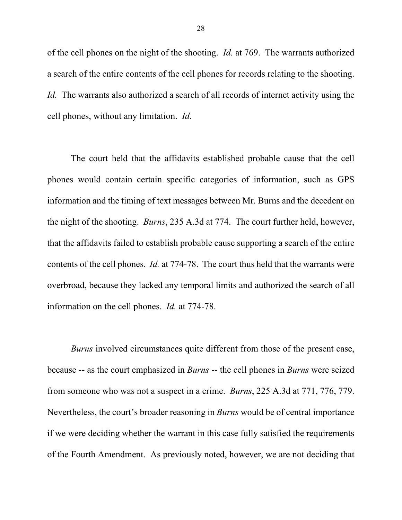of the cell phones on the night of the shooting. *Id.* at 769. The warrants authorized a search of the entire contents of the cell phones for records relating to the shooting. *Id.* The warrants also authorized a search of all records of internet activity using the cell phones, without any limitation. *Id.*

The court held that the affidavits established probable cause that the cell phones would contain certain specific categories of information, such as GPS information and the timing of text messages between Mr. Burns and the decedent on the night of the shooting. *Burns*, 235 A.3d at 774. The court further held, however, that the affidavits failed to establish probable cause supporting a search of the entire contents of the cell phones. *Id.* at 774-78. The court thus held that the warrants were overbroad, because they lacked any temporal limits and authorized the search of all information on the cell phones. *Id.* at 774-78.

*Burns* involved circumstances quite different from those of the present case, because -- as the court emphasized in *Burns* -- the cell phones in *Burns* were seized from someone who was not a suspect in a crime. *Burns*, 225 A.3d at 771, 776, 779. Nevertheless, the court's broader reasoning in *Burns* would be of central importance if we were deciding whether the warrant in this case fully satisfied the requirements of the Fourth Amendment. As previously noted, however, we are not deciding that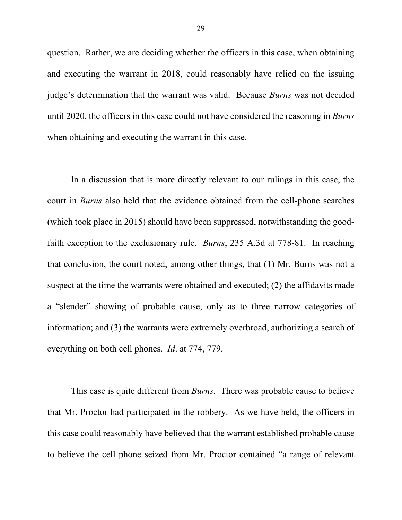question. Rather, we are deciding whether the officers in this case, when obtaining and executing the warrant in 2018, could reasonably have relied on the issuing judge's determination that the warrant was valid. Because *Burns* was not decided until 2020, the officers in this case could not have considered the reasoning in *Burns* when obtaining and executing the warrant in this case.

In a discussion that is more directly relevant to our rulings in this case, the court in *Burns* also held that the evidence obtained from the cell-phone searches (which took place in 2015) should have been suppressed, notwithstanding the goodfaith exception to the exclusionary rule. *Burns*, 235 A.3d at 778-81. In reaching that conclusion, the court noted, among other things, that (1) Mr. Burns was not a suspect at the time the warrants were obtained and executed; (2) the affidavits made a "slender" showing of probable cause, only as to three narrow categories of information; and (3) the warrants were extremely overbroad, authorizing a search of everything on both cell phones. *Id*. at 774, 779.

This case is quite different from *Burns*. There was probable cause to believe that Mr. Proctor had participated in the robbery. As we have held, the officers in this case could reasonably have believed that the warrant established probable cause to believe the cell phone seized from Mr. Proctor contained "a range of relevant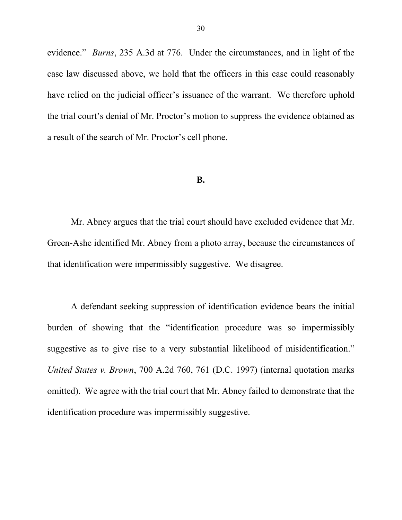evidence." *Burns*, 235 A.3d at 776. Under the circumstances, and in light of the case law discussed above, we hold that the officers in this case could reasonably have relied on the judicial officer's issuance of the warrant. We therefore uphold the trial court's denial of Mr. Proctor's motion to suppress the evidence obtained as a result of the search of Mr. Proctor's cell phone.

#### **B.**

Mr. Abney argues that the trial court should have excluded evidence that Mr. Green-Ashe identified Mr. Abney from a photo array, because the circumstances of that identification were impermissibly suggestive. We disagree.

A defendant seeking suppression of identification evidence bears the initial burden of showing that the "identification procedure was so impermissibly suggestive as to give rise to a very substantial likelihood of misidentification." *United States v. Brown*, 700 A.2d 760, 761 (D.C. 1997) (internal quotation marks omitted). We agree with the trial court that Mr. Abney failed to demonstrate that the identification procedure was impermissibly suggestive.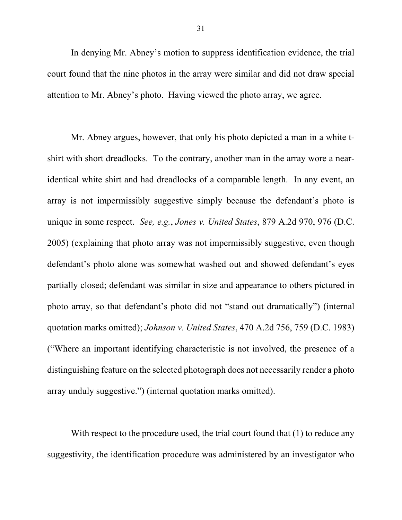In denying Mr. Abney's motion to suppress identification evidence, the trial court found that the nine photos in the array were similar and did not draw special attention to Mr. Abney's photo. Having viewed the photo array, we agree.

Mr. Abney argues, however, that only his photo depicted a man in a white tshirt with short dreadlocks. To the contrary, another man in the array wore a nearidentical white shirt and had dreadlocks of a comparable length. In any event, an array is not impermissibly suggestive simply because the defendant's photo is unique in some respect. *See, e.g.*, *Jones v. United States*, 879 A.2d 970, 976 (D.C. 2005) (explaining that photo array was not impermissibly suggestive, even though defendant's photo alone was somewhat washed out and showed defendant's eyes partially closed; defendant was similar in size and appearance to others pictured in photo array, so that defendant's photo did not "stand out dramatically") (internal quotation marks omitted); *Johnson v. United States*, 470 A.2d 756, 759 (D.C. 1983) ("Where an important identifying characteristic is not involved, the presence of a distinguishing feature on the selected photograph does not necessarily render a photo array unduly suggestive.") (internal quotation marks omitted).

With respect to the procedure used, the trial court found that (1) to reduce any suggestivity, the identification procedure was administered by an investigator who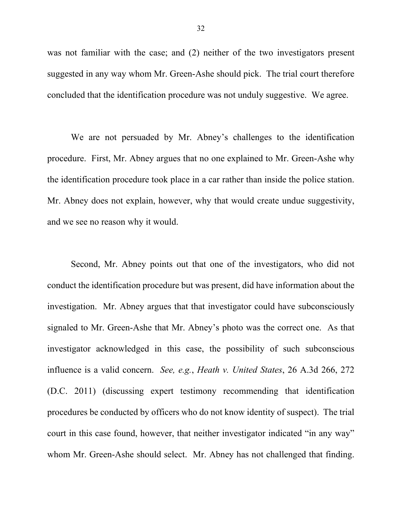was not familiar with the case; and (2) neither of the two investigators present suggested in any way whom Mr. Green-Ashe should pick. The trial court therefore concluded that the identification procedure was not unduly suggestive. We agree.

We are not persuaded by Mr. Abney's challenges to the identification procedure. First, Mr. Abney argues that no one explained to Mr. Green-Ashe why the identification procedure took place in a car rather than inside the police station. Mr. Abney does not explain, however, why that would create undue suggestivity, and we see no reason why it would.

Second, Mr. Abney points out that one of the investigators, who did not conduct the identification procedure but was present, did have information about the investigation. Mr. Abney argues that that investigator could have subconsciously signaled to Mr. Green-Ashe that Mr. Abney's photo was the correct one. As that investigator acknowledged in this case, the possibility of such subconscious influence is a valid concern. *See, e.g.*, *Heath v. United States*, 26 A.3d 266, 272 (D.C. 2011) (discussing expert testimony recommending that identification procedures be conducted by officers who do not know identity of suspect). The trial court in this case found, however, that neither investigator indicated "in any way" whom Mr. Green-Ashe should select. Mr. Abney has not challenged that finding.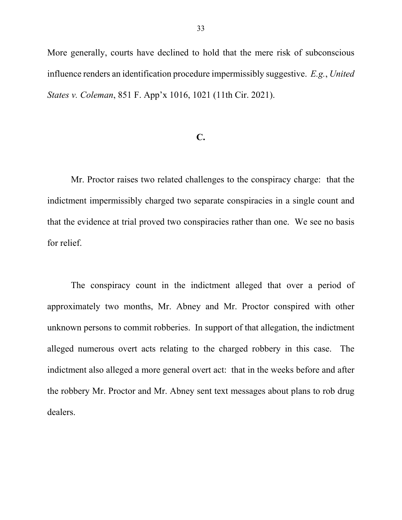More generally, courts have declined to hold that the mere risk of subconscious influence renders an identification procedure impermissibly suggestive. *E.g.*, *United States v. Coleman*, 851 F. App'x 1016, 1021 (11th Cir. 2021).

### **C.**

Mr. Proctor raises two related challenges to the conspiracy charge: that the indictment impermissibly charged two separate conspiracies in a single count and that the evidence at trial proved two conspiracies rather than one. We see no basis for relief.

The conspiracy count in the indictment alleged that over a period of approximately two months, Mr. Abney and Mr. Proctor conspired with other unknown persons to commit robberies. In support of that allegation, the indictment alleged numerous overt acts relating to the charged robbery in this case. The indictment also alleged a more general overt act: that in the weeks before and after the robbery Mr. Proctor and Mr. Abney sent text messages about plans to rob drug dealers.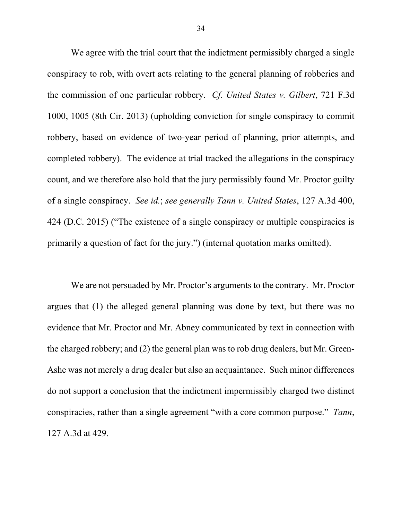We agree with the trial court that the indictment permissibly charged a single conspiracy to rob, with overt acts relating to the general planning of robberies and the commission of one particular robbery. *Cf. United States v. Gilbert*, 721 F.3d 1000, 1005 (8th Cir. 2013) (upholding conviction for single conspiracy to commit robbery, based on evidence of two-year period of planning, prior attempts, and completed robbery). The evidence at trial tracked the allegations in the conspiracy count, and we therefore also hold that the jury permissibly found Mr. Proctor guilty of a single conspiracy. *See id.*; *see generally Tann v. United States*, 127 A.3d 400, 424 (D.C. 2015) ("The existence of a single conspiracy or multiple conspiracies is primarily a question of fact for the jury.") (internal quotation marks omitted).

We are not persuaded by Mr. Proctor's arguments to the contrary. Mr. Proctor argues that (1) the alleged general planning was done by text, but there was no evidence that Mr. Proctor and Mr. Abney communicated by text in connection with the charged robbery; and (2) the general plan was to rob drug dealers, but Mr. Green-Ashe was not merely a drug dealer but also an acquaintance. Such minor differences do not support a conclusion that the indictment impermissibly charged two distinct conspiracies, rather than a single agreement "with a core common purpose." *Tann*, 127 A.3d at 429.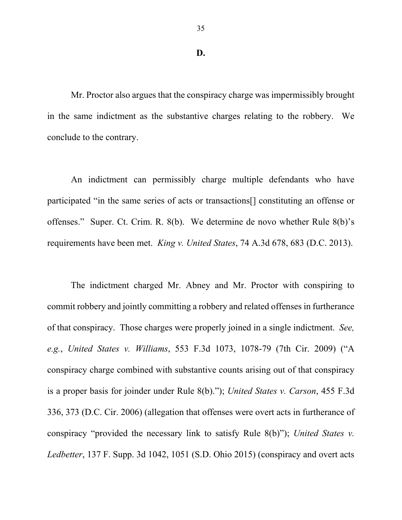35

### **D.**

Mr. Proctor also argues that the conspiracy charge was impermissibly brought in the same indictment as the substantive charges relating to the robbery. We conclude to the contrary.

An indictment can permissibly charge multiple defendants who have participated "in the same series of acts or transactions[] constituting an offense or offenses." Super. Ct. Crim. R. 8(b). We determine de novo whether Rule 8(b)'s requirements have been met. *King v. United States*, 74 A.3d 678, 683 (D.C. 2013).

The indictment charged Mr. Abney and Mr. Proctor with conspiring to commit robbery and jointly committing a robbery and related offenses in furtherance of that conspiracy. Those charges were properly joined in a single indictment. *See, e.g.*, *United States v. Williams*, 553 F.3d 1073, 1078-79 (7th Cir. 2009) ("A conspiracy charge combined with substantive counts arising out of that conspiracy is a proper basis for joinder under Rule 8(b)."); *United States v. Carson*, 455 F.3d 336, 373 (D.C. Cir. 2006) (allegation that offenses were overt acts in furtherance of conspiracy "provided the necessary link to satisfy Rule 8(b)"); *United States v. Ledbetter*, 137 F. Supp. 3d 1042, 1051 (S.D. Ohio 2015) (conspiracy and overt acts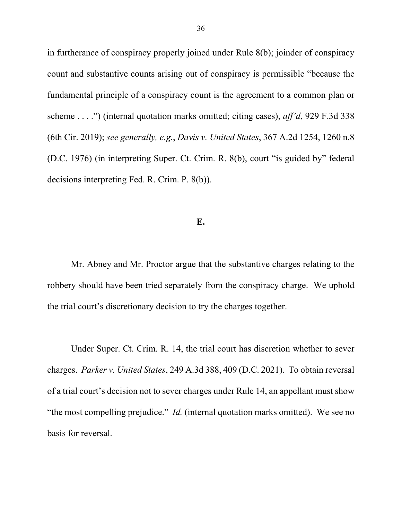in furtherance of conspiracy properly joined under Rule 8(b); joinder of conspiracy count and substantive counts arising out of conspiracy is permissible "because the fundamental principle of a conspiracy count is the agreement to a common plan or scheme . . . .") (internal quotation marks omitted; citing cases), *aff'd*, 929 F.3d 338 (6th Cir. 2019); *see generally, e.g.*, *Davis v. United States*, 367 A.2d 1254, 1260 n.8 (D.C. 1976) (in interpreting Super. Ct. Crim. R. 8(b), court "is guided by" federal decisions interpreting Fed. R. Crim. P. 8(b)).

## **E.**

Mr. Abney and Mr. Proctor argue that the substantive charges relating to the robbery should have been tried separately from the conspiracy charge. We uphold the trial court's discretionary decision to try the charges together.

Under Super. Ct. Crim. R. 14, the trial court has discretion whether to sever charges. *Parker v. United States*, 249 A.3d 388, 409 (D.C. 2021). To obtain reversal of a trial court's decision not to sever charges under Rule 14, an appellant must show "the most compelling prejudice." *Id.* (internal quotation marks omitted). We see no basis for reversal.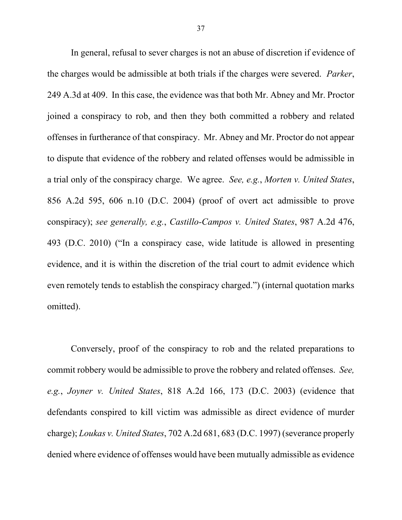In general, refusal to sever charges is not an abuse of discretion if evidence of the charges would be admissible at both trials if the charges were severed. *Parker*, 249 A.3d at 409. In this case, the evidence was that both Mr. Abney and Mr. Proctor joined a conspiracy to rob, and then they both committed a robbery and related offenses in furtherance of that conspiracy. Mr. Abney and Mr. Proctor do not appear to dispute that evidence of the robbery and related offenses would be admissible in a trial only of the conspiracy charge. We agree. *See, e.g.*, *Morten v. United States*, 856 A.2d 595, 606 n.10 (D.C. 2004) (proof of overt act admissible to prove conspiracy); *see generally, e.g.*, *Castillo-Campos v. United States*, 987 A.2d 476, 493 (D.C. 2010) ("In a conspiracy case, wide latitude is allowed in presenting evidence, and it is within the discretion of the trial court to admit evidence which even remotely tends to establish the conspiracy charged.") (internal quotation marks omitted).

Conversely, proof of the conspiracy to rob and the related preparations to commit robbery would be admissible to prove the robbery and related offenses. *See, e.g.*, *Joyner v. United States*, 818 A.2d 166, 173 (D.C. 2003) (evidence that defendants conspired to kill victim was admissible as direct evidence of murder charge); *Loukas v. United States*, 702 A.2d 681, 683 (D.C. 1997) (severance properly denied where evidence of offenses would have been mutually admissible as evidence